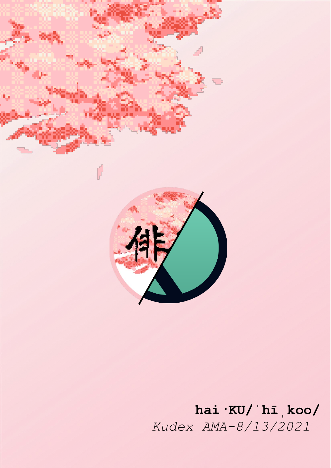

# **hai·KU/ˈhīˌkoo/** *Kudex AMA-8/13/2021*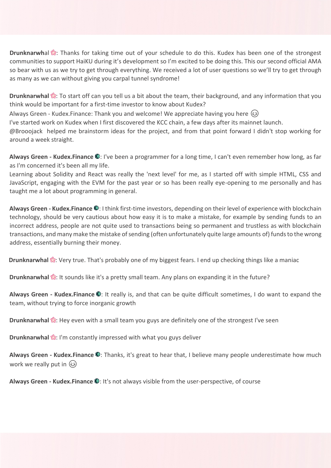**Drunknarwh**al **:** Thanks for taking time out of your schedule to do this. Kudex has been one of the strongest communities to support HaiKU during it's development so I'm excited to be doing this. This our second official AMA so bear with us as we try to get through everything. We received a lot of user questions so we'll try to get through as many as we can without giving you carpal tunnel syndrome!

**Drunknarwhal** : To start off can you tell us a bit about the team, their background, and any information that you think would be important for a first-time investor to know about Kudex?

Always Green - Kudex.Finance: Thank you and welcome! We appreciate having you here

I've started work on Kudex when I first discovered the KCC chain, a few days after its mainnet launch.

@Brooojack helped me brainstorm ideas for the project, and from that point forward I didn't stop working for around a week straight.

**Always Green - Kudex.Finance**  $\odot$ **:** I've been a programmer for a long time, I can't even remember how long, as far as I'm concerned it's been all my life.

Learning about Solidity and React was really the 'next level' for me, as I started off with simple HTML, CSS and JavaScript, engaging with the EVM for the past year or so has been really eye-opening to me personally and has taught me a lot about programming in general.

Always Green - Kudex.Finance **.** I think first-time investors, depending on their level of experience with blockchain technology, should be very cautious about how easy it is to make a mistake, for example by sending funds to an incorrect address, people are not quite used to transactions being so permanent and trustless as with blockchain transactions, and many make the mistake of sending (often unfortunately quite large amounts of) funds to the wrong address, essentially burning their money.

**Drunknarwhal <b>:** Very true. That's probably one of my biggest fears. I end up checking things like a maniac

**Drunknarwhal <b>:** It sounds like it's a pretty small team. Any plans on expanding it in the future?

Always Green - Kudex.Finance <sup>1</sup>: It really is, and that can be quite difficult sometimes, I do want to expand the team, without trying to force inorganic growth

**Drunknarwhal <b>:** Hey even with a small team you guys are definitely one of the strongest I've seen

**Drunknarwhal ::** I'm constantly impressed with what you guys deliver

Always Green - Kudex.Finance **O**: Thanks, it's great to hear that, I believe many people underestimate how much work we really put in  $\circled{3}$ 

**Always Green - Kudex.Finance**  $\mathbb{Q}$ **:** It's not always visible from the user-perspective, of course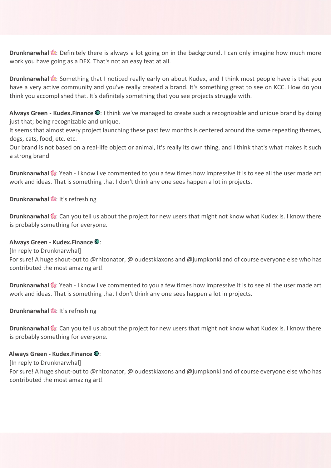**Drunknarwhal :** Definitely there is always a lot going on in the background. I can only imagine how much more work you have going as a DEX. That's not an easy feat at all.

**Drunknarwhal <b>:** Something that I noticed really early on about Kudex, and I think most people have is that you have a very active community and you've really created a brand. It's something great to see on KCC. How do you think you accomplished that. It's definitely something that you see projects struggle with.

**Always Green - Kudex.Finance**  $\odot$ **:** I think we've managed to create such a recognizable and unique brand by doing just that; being recognizable and unique.

It seems that almost every project launching these past few months is centered around the same repeating themes, dogs, cats, food, etc. etc.

Our brand is not based on a real-life object or animal, it's really its own thing, and I think that's what makes it such a strong brand

**Drunknarwhal :** Yeah - I know i've commented to you a few times how impressive it is to see all the user made art work and ideas. That is something that I don't think any one sees happen a lot in projects.

## **Drunknarwhal &:** It's refreshing

**Drunknarwhal**  $\mathbb{R}$ : Can you tell us about the project for new users that might not know what Kudex is. I know there is probably something for everyone.

### **Always Green - Kudex.Finance**  $\odot$ **:**

[In reply to Drunknarwhal]

For sure! A huge shout-out to @rhizonator, @loudestklaxons and @jumpkonki and of course everyone else who has contributed the most amazing art!

**Drunknarwhal :** Yeah - I know i've commented to you a few times how impressive it is to see all the user made art work and ideas. That is something that I don't think any one sees happen a lot in projects.

## **Drunknarwhal &:** It's refreshing

**Drunknarwhal <sup>8</sup>**: Can you tell us about the project for new users that might not know what Kudex is. I know there is probably something for everyone.

### **Always Green - Kudex.Finance**  $\odot$ **:**

[In reply to Drunknarwhal]

For sure! A huge shout-out to @rhizonator, @loudestklaxons and @jumpkonki and of course everyone else who has contributed the most amazing art!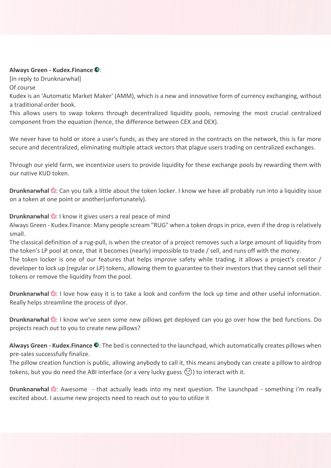### **Always Green - Kudex.Finance**  $\odot$ **:**

[In reply to Drunknarwhal] Of course

Kudex is an 'Automatic Market Maker' (AMM), which is a new and innovative form of currency exchanging, without a traditional order book.

This allows users to swap tokens through decentralized liquidity pools, removing the most crucial centralized component from the equation (hence, the difference between CEX and DEX).

We never have to hold or store a user's funds, as they are stored in the contracts on the network, this is far more secure and decentralized, eliminating multiple attack vectors that plague users trading on centralized exchanges.

Through our yield farm, we incentivize users to provide liquidity for these exchange pools by rewarding them with our native KUD token.

**Drunknarwhal ::** Can you talk a little about the token locker. I know we have all probably run into a liquidity issue on a token at one point or another(unfortunately).

**Drunknarwhal**  $\mathbb{S}$ **:** I know it gives users a real peace of mind

Always Green - Kudex.Finance: Many people scream "RUG" when a token drops in price, even if the drop is relatively small.

The classical definition of a rug-pull, is when the creator of a project removes such a large amount of liquidity from the token's LP pool at once, that it becomes (nearly) impossible to trade / sell, and runs off with the money. The token locker is one of our features that helps improve safety while trading, it allows a project's creator / developer to lock up (regular or LP) tokens, allowing them to guarantee to their investors that they cannot sell their tokens or remove the liquidity from the pool.

**Drunknarwhal** : I love how easy it is to take a look and confirm the lock up time and other useful information. Really helps streamline the process of dyor.

**Drunknarwhal** : I know we've seen some new pillows get deployed can you go over how the bed functions. Do projects reach out to you to create new pillows?

Always Green - Kudex.Finance  $\odot$ : The bed is connected to the launchpad, which automatically creates pillows when pre-sales successfully finalize.

The pillow creation function is public, allowing anybody to call it, this means anybody can create a pillow to airdrop tokens, but you do need the ABI interface (or a very lucky guess  $\textcircled{\small{\textsc{5}}}$ ) to interact with it.

**Drunknarwhal <b>:** Awesome - that actually leads into my next question. The Launchpad - something i'm really excited about. I assume new projects need to reach out to you to utilize it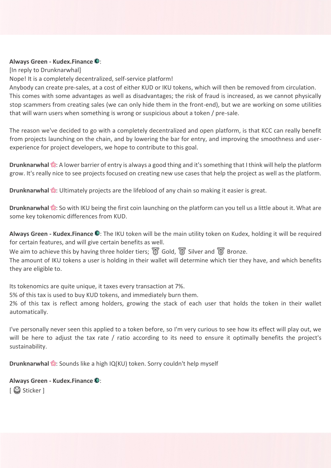### **Always Green - Kudex.Finance**  $\mathbb{O}$ **:**

[In reply to Drunknarwhal]

Nope! It is a completely decentralized, self-service platform!

Anybody can create pre-sales, at a cost of either KUD or IKU tokens, which will then be removed from circulation. This comes with some advantages as well as disadvantages; the risk of fraud is increased, as we cannot physically stop scammers from creating sales (we can only hide them in the front-end), but we are working on some utilities that will warn users when something is wrong or suspicious about a token / pre-sale.

The reason we've decided to go with a completely decentralized and open platform, is that KCC can really benefit from projects launching on the chain, and by lowering the bar for entry, and improving the smoothness and userexperience for project developers, we hope to contribute to this goal.

**Drunknarwhal ::** A lower barrier of entry is always a good thing and it's something that I think will help the platform grow. It's really nice to see projects focused on creating new use cases that help the project as well as the platform.

**Drunknarwhal <sup>8</sup>7**: Ultimately projects are the lifeblood of any chain so making it easier is great.

**Drunknarwhal** : So with IKU being the first coin launching on the platform can you tell us a little about it. What are some key tokenomic differences from KUD.

Always Green - Kudex.Finance <sup>1</sup>: The IKU token will be the main utility token on Kudex, holding it will be required for certain features, and will give certain benefits as well.

We aim to achieve this by having three holder tiers;  $\mathbb G$  Gold,  $\mathbb S$  Silver and  $\mathbb S$  Bronze.

The amount of IKU tokens a user is holding in their wallet will determine which tier they have, and which benefits they are eligible to.

Its tokenomics are quite unique, it taxes every transaction at 7%.

5% of this tax is used to buy KUD tokens, and immediately burn them.

2% of this tax is reflect among holders, growing the stack of each user that holds the token in their wallet automatically.

I've personally never seen this applied to a token before, so I'm very curious to see how its effect will play out, we will be here to adjust the tax rate / ratio according to its need to ensure it optimally benefits the project's sustainability.

**Drunknarwhal :** Sounds like a high IQ(KU) token. Sorry couldn't help myself

**Always Green - Kudex.Finance ©:** [ Sticker ]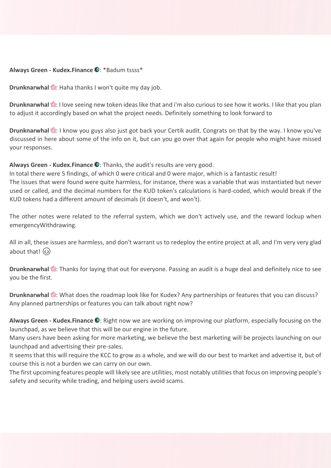### **Always Green - Kudex.Finance ©: \*Badum tssss\***

**Drunknarwhal** :: Haha thanks I won't quite my day job.

**Drunknarwhal <sup>8</sup>:** I love seeing new token ideas like that and i'm also curious to see how it works. I like that you plan to adjust it accordingly based on what the project needs. Definitely something to look forward to

**Drunknarwhal <sup>8</sup>:** I know you guys also just got back your Certik audit. Congrats on that by the way. I know you've discussed in here about some of the info on it, but can you go over that again for people who might have missed your responses.

Always Green - Kudex.Finance **O**: Thanks, the audit's results are very good.

In total there were 5 findings, of which 0 were critical and 0 were major, which is a fantastic result! The issues that were found were quite harmless, for instance, there was a variable that was instantiated but never used or called, and the decimal numbers for the KUD token's calculations is hard-coded, which would break if the KUD tokens had a different amount of decimals (it doesn't, and won't).

The other notes were related to the referral system, which we don't actively use, and the reward lockup when emergencyWithdrawing.

All in all, these issues are harmless, and don't warrant us to redeploy the entire project at all, and I'm very very glad about that! (3)

**Drunknarwhal** :: Thanks for laying that out for everyone. Passing an audit is a huge deal and definitely nice to see you be the first.

**Drunknarwhal <sup>8</sup>8**: What does the roadmap look like for Kudex? Any partnerships or features that you can discuss? Any planned partnerships or features you can talk about right now?

**Always Green - Kudex.Finance**  $\bullet$ : Right now we are working on improving our platform, especially focusing on the launchpad, as we believe that this will be our engine in the future.

Many users have been asking for more marketing, we believe the best marketing will be projects launching on our launchpad and advertising their pre-sales.

It seems that this will require the KCC to grow as a whole, and we will do our best to market and advertise it, but of course this is not a burden we can carry on our own.

The first upcoming features people will likely see are utilities, most notably utilities that focus on improving people's safety and security while trading, and helping users avoid scams.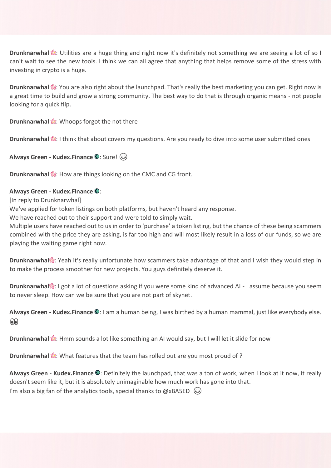**Drunknarwhal** : Utilities are a huge thing and right now it's definitely not something we are seeing a lot of so I can't wait to see the new tools. I think we can all agree that anything that helps remove some of the stress with investing in crypto is a huge.

**Drunknarwhal ::** You are also right about the launchpad. That's really the best marketing you can get. Right now is a great time to build and grow a strong community. The best way to do that is through organic means - not people looking for a quick flip.

**Drunknarwhal &:** Whoops forgot the not there

**Drunknarwhal <sup>8</sup>:** I think that about covers my questions. Are you ready to dive into some user submitted ones

**Always Green - Kudex.Finance ©**: Sure!  $\circledS$ 

**Drunknarwhal <b>:** How are things looking on the CMC and CG front.

## **Always Green - Kudex.Finance**  $\mathbb{O}$ **:**

[In reply to Drunknarwhal]

We've applied for token listings on both platforms, but haven't heard any response.

We have reached out to their support and were told to simply wait.

Multiple users have reached out to us in order to 'purchase' a token listing, but the chance of these being scammers combined with the price they are asking, is far too high and will most likely result in a loss of our funds, so we are playing the waiting game right now.

**Drunknarwhal**: Yeah it's really unfortunate how scammers take advantage of that and I wish they would step in to make the process smoother for new projects. You guys definitely deserve it.

**Drunknarwhal**: I got a lot of questions asking if you were some kind of advanced AI - I assume because you seem to never sleep. How can we be sure that you are not part of skynet.

**Always Green - Kudex.Finance ©**: I am a human being, I was birthed by a human mammal, just like everybody else. 00

**Drunknarwhal <b>:** Hmm sounds a lot like something an AI would say, but I will let it slide for now

**Drunknarwhal :** What features that the team has rolled out are you most proud of ?

Always Green - Kudex.Finance **O**: Definitely the launchpad, that was a ton of work, when I look at it now, it really doesn't seem like it, but it is absolutely unimaginable how much work has gone into that. I'm also a big fan of the analytics tools, special thanks to @xBA5ED  $\circledR$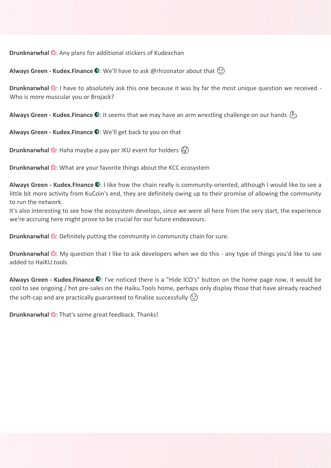**Drunknarwhal**  $\mathbb{S}$ **:** Any plans for additional stickers of Kudexchan

**Always Green - Kudex.Finance**  $\mathbb{Q}$ **:** We'll have to ask @rhizonator about that  $\textcircled{?}$ 

**Drunknarwhal :** I have to absolutely ask this one because it was by far the most unique question we received -Who is more muscular you or Brojack?

**Always Green - Kudex.Finance ©**: It seems that we may have an arm wrestling challenge on our hands (5)

**Always Green - Kudex.Finance ©: We'll get back to you on that** 

**Drunknarwhal :** Haha maybe a pay per IKU event for holders  $\left(\frac{1}{2}\right)$ 

**Drunknarwhal <b>:** What are your favorite things about the KCC ecosystem

Always Green - Kudex.Finance **O**: I like how the chain really is community-oriented, although I would like to see a little bit more activity from KuCoin's end, they are definitely owing up to their promise of allowing the community to run the network.

It's also interesting to see how the ecosystem develops, since we were all here from the very start, the experience we're accruing here might prove to be crucial for our future endeavours.

**Drunknarwhal ::** Definitely putting the community in community chain for sure.

**Drunknarwhal <b>:** My question that I like to ask developers when we do this - any type of things you'd like to see added to HaiKU.tools

Always Green - Kudex.Finance <sup>1</sup>: I've noticed there is a "Hide ICO's" button on the home page now, it would be cool to see ongoing / hot pre-sales on the Haiku.Tools home, perhaps only display those that have already reached the soft-cap and are practically guaranteed to finalize successfully  $(\hat{c})$ 

**Drunknarwhal**  $\mathbb{S}$ **:** That's some great feedback. Thanks!